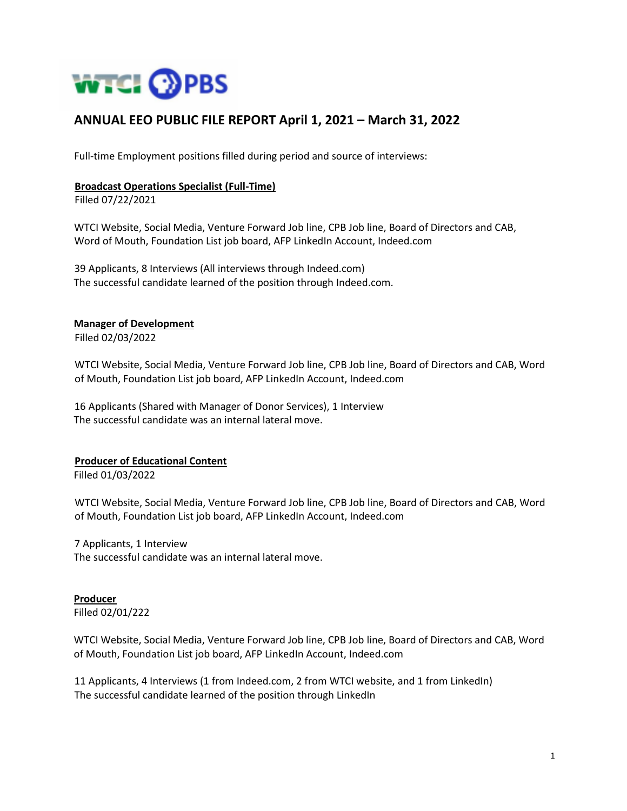

# **ANNUAL EEO PUBLIC FILE REPORT April 1, 2021 – March 31, 2022**

Full-time Employment positions filled during period and source of interviews:

#### **Broadcast Operations Specialist (Full-Time)**

Filled 07/22/2021

WTCI Website, Social Media, Venture Forward Job line, CPB Job line, Board of Directors and CAB, Word of Mouth, Foundation List job board, AFP LinkedIn Account, Indeed.com

39 Applicants, 8 Interviews (All interviews through Indeed.com) The successful candidate learned of the position through Indeed.com.

## **Manager of Development**

Filled 02/03/2022

WTCI Website, Social Media, Venture Forward Job line, CPB Job line, Board of Directors and CAB, Word of Mouth, Foundation List job board, AFP LinkedIn Account, Indeed.com

16 Applicants (Shared with Manager of Donor Services), 1 Interview The successful candidate was an internal lateral move.

### **Producer of Educational Content**

Filled 01/03/2022

WTCI Website, Social Media, Venture Forward Job line, CPB Job line, Board of Directors and CAB, Word of Mouth, Foundation List job board, AFP LinkedIn Account, Indeed.com

7 Applicants, 1 Interview The successful candidate was an internal lateral move.

**Producer** Filled 02/01/222

WTCI Website, Social Media, Venture Forward Job line, CPB Job line, Board of Directors and CAB, Word of Mouth, Foundation List job board, AFP LinkedIn Account, Indeed.com

11 Applicants, 4 Interviews (1 from Indeed.com, 2 from WTCI website, and 1 from LinkedIn) The successful candidate learned of the position through LinkedIn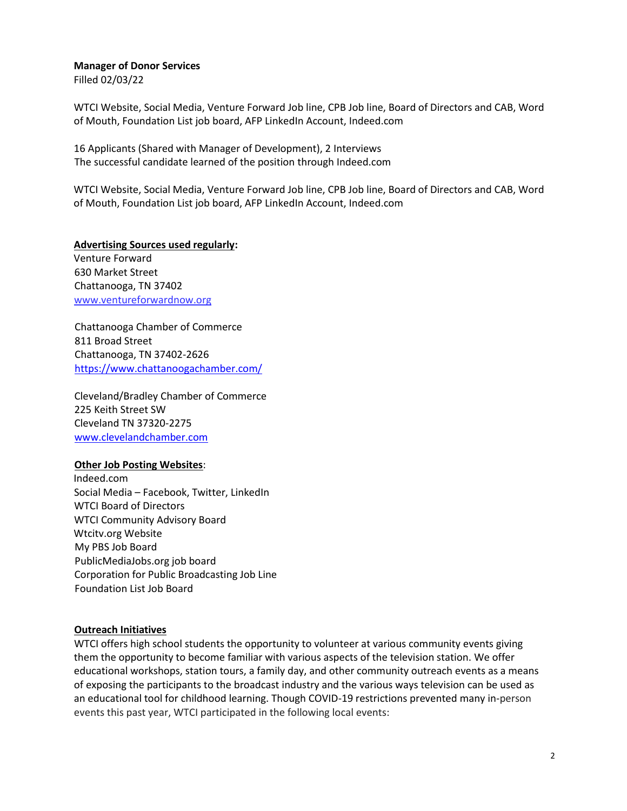## **Manager of Donor Services**

Filled 02/03/22

WTCI Website, Social Media, Venture Forward Job line, CPB Job line, Board of Directors and CAB, Word of Mouth, Foundation List job board, AFP LinkedIn Account, Indeed.com

16 Applicants (Shared with Manager of Development), 2 Interviews The successful candidate learned of the position through Indeed.com

WTCI Website, Social Media, Venture Forward Job line, CPB Job line, Board of Directors and CAB, Word of Mouth, Foundation List job board, AFP LinkedIn Account, Indeed.com

**Advertising Sources used regularly:**  Venture Forward 630 Market Street Chattanooga, TN 37402 www.ventureforwardnow.org

Chattanooga Chamber of Commerce 811 Broad Street Chattanooga, TN 37402-2626 <https://www.chattanoogachamber.com/>

Cleveland/Bradley Chamber of Commerce 225 Keith Street SW Cleveland TN 37320-2275 [www.clevelandchamber.com](http://www.clevelandchamber.com/)

### **Other Job Posting Websites**:

Indeed.com Social Media – Facebook, Twitter, LinkedIn WTCI Board of Directors WTCI Community Advisory Board Wtcitv.org Website My PBS Job Board PublicMediaJobs.org job board Corporation for Public Broadcasting Job Line Foundation List Job Board

### **Outreach Initiatives**

WTCI offers high school students the opportunity to volunteer at various community events giving them the opportunity to become familiar with various aspects of the television station. We offer educational workshops, station tours, a family day, and other community outreach events as a means of exposing the participants to the broadcast industry and the various ways television can be used as an educational tool for childhood learning. Though COVID-19 restrictions prevented many in-person events this past year, WTCI participated in the following local events: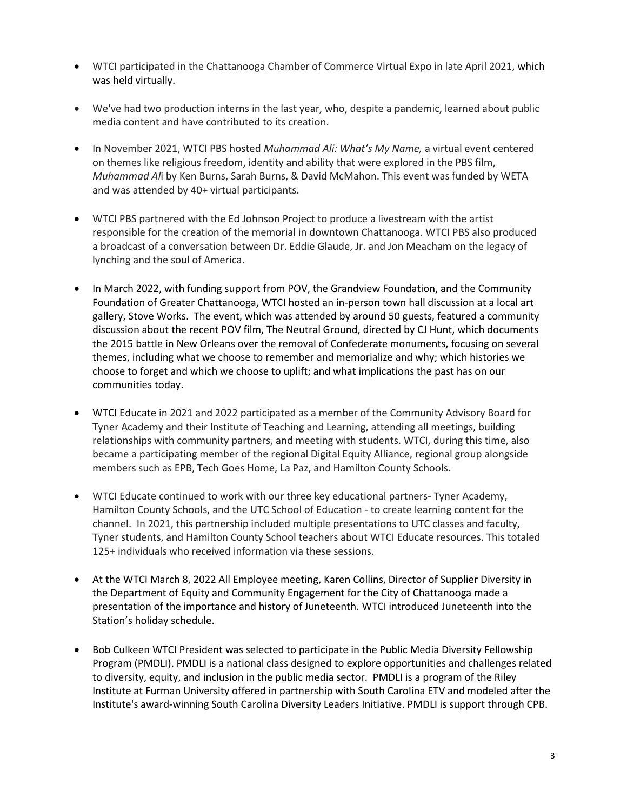- WTCI participated in the Chattanooga Chamber of Commerce Virtual Expo in late April 2021, which was held virtually.
- We've had two production interns in the last year, who, despite a pandemic, learned about public media content and have contributed to its creation.
- In November 2021, WTCI PBS hosted *Muhammad Ali: What's My Name,* a virtual event centered on themes like religious freedom, identity and ability that were explored in the PBS film, *Muhammad Al*i by Ken Burns, Sarah Burns, & David McMahon. This event was funded by WETA and was attended by 40+ virtual participants.
- WTCI PBS partnered with the Ed Johnson Project to produce a livestream with the artist responsible for the creation of the memorial in downtown Chattanooga. WTCI PBS also produced a broadcast of a conversation between Dr. Eddie Glaude, Jr. and Jon Meacham on the legacy of lynching and the soul of America.
- In March 2022, with funding support from POV, the Grandview Foundation, and the Community Foundation of Greater Chattanooga, WTCI hosted an in-person town hall discussion at a local art gallery, Stove Works. The event, which was attended by around 50 guests, featured a community discussion about the recent POV film, The Neutral Ground, directed by CJ Hunt, which documents the 2015 battle in New Orleans over the removal of Confederate monuments, focusing on several themes, including what we choose to remember and memorialize and why; which histories we choose to forget and which we choose to uplift; and what implications the past has on our communities today.
- WTCI Educate in 2021 and 2022 participated as a member of the Community Advisory Board for Tyner Academy and their Institute of Teaching and Learning, attending all meetings, building relationships with community partners, and meeting with students. WTCI, during this time, also became a participating member of the regional Digital Equity Alliance, regional group alongside members such as EPB, Tech Goes Home, La Paz, and Hamilton County Schools.
- WTCI Educate continued to work with our three key educational partners- Tyner Academy, Hamilton County Schools, and the UTC School of Education - to create learning content for the channel. In 2021, this partnership included multiple presentations to UTC classes and faculty, Tyner students, and Hamilton County School teachers about WTCI Educate resources. This totaled 125+ individuals who received information via these sessions.
- At the WTCI March 8, 2022 All Employee meeting, Karen Collins, Director of Supplier Diversity in the Department of Equity and Community Engagement for the City of Chattanooga made a presentation of the importance and history of Juneteenth. WTCI introduced Juneteenth into the Station's holiday schedule.
- Bob Culkeen WTCI President was selected to participate in the Public Media Diversity Fellowship Program (PMDLI). PMDLI is a national class designed to explore opportunities and challenges related to diversity, equity, and inclusion in the public media sector. PMDLI is a program of the Riley Institute at Furman University offered in partnership with South Carolina ETV and modeled after the Institute's award-winning South Carolina Diversity Leaders Initiative. PMDLI is support through CPB.